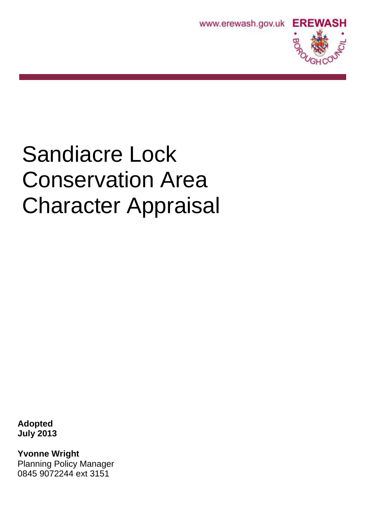



# Sandiacre Lock Conservation Area Character Appraisal

**Adopted July 2013**

**Yvonne Wright** Planning Policy Manager 0845 9072244 ext 3151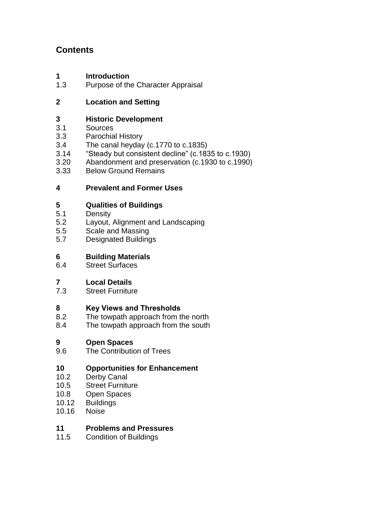# **Contents**

# **1 Introduction**<br>**1.3** Purpose of the

Purpose of the Character Appraisal

# **2 Location and Setting**

# **3 Historic Development**

- Sources
- 3.3 Parochial History
- 3.4 The canal heyday (c.1770 to c.1835)<br>3.14 "Steady but consistent decline" (c.183
- 3.14 "Steady but consistent decline" (c.1835 to c.1930)
- 3.20 Abandonment and preservation (c.1930 to c.1990)
- 3.33 Below Ground Remains

# **4 Prevalent and Former Uses**

# **5 Qualities of Buildings**

- 5.1 Density
- 5.2 Layout, Alignment and Landscaping
- 5.5 Scale and Massing
- 5.7 Designated Buildings

# **6 Building Materials**

**Street Surfaces** 

# **7 Local Details**

**Street Furniture** 

# **8 Key Views and Thresholds**

- 8.2 The towpath approach from the north
- 8.4 The towpath approach from the south

# **9 Open Spaces**

The Contribution of Trees

# **10 Opportunities for Enhancement**

- 10.2 Derby Canal
- 10.5 Street Furniture
- 10.8 Open Spaces
- 10.12 Buildings
- 10.16 Noise

# **11 Problems and Pressures**

11.5 Condition of Buildings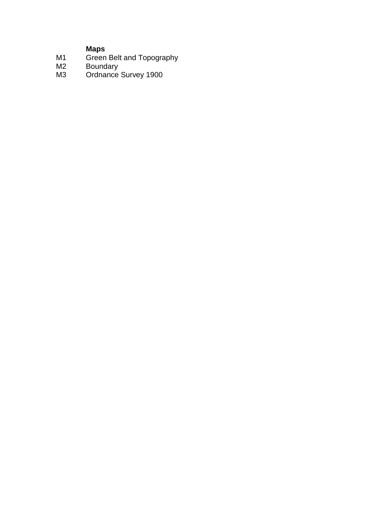## **Maps**

- M1 Green Belt and Topography
- M2 Boundary
- M3 Ordnance Survey 1900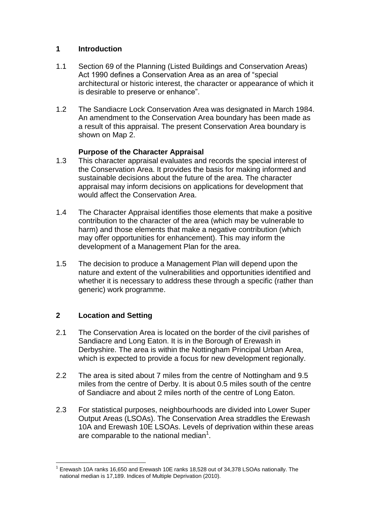## **1 Introduction**

- 1.1 Section 69 of the Planning (Listed Buildings and Conservation Areas) Act 1990 defines a Conservation Area as an area of "special architectural or historic interest, the character or appearance of which it is desirable to preserve or enhance".
- 1.2 The Sandiacre Lock Conservation Area was designated in March 1984. An amendment to the Conservation Area boundary has been made as a result of this appraisal. The present Conservation Area boundary is shown on Map 2.

### **Purpose of the Character Appraisal**

- 1.3 This character appraisal evaluates and records the special interest of the Conservation Area. It provides the basis for making informed and sustainable decisions about the future of the area. The character appraisal may inform decisions on applications for development that would affect the Conservation Area.
- 1.4 The Character Appraisal identifies those elements that make a positive contribution to the character of the area (which may be vulnerable to harm) and those elements that make a negative contribution (which may offer opportunities for enhancement). This may inform the development of a Management Plan for the area.
- 1.5 The decision to produce a Management Plan will depend upon the nature and extent of the vulnerabilities and opportunities identified and whether it is necessary to address these through a specific (rather than generic) work programme.

# **2 Location and Setting**

- 2.1 The Conservation Area is located on the border of the civil parishes of Sandiacre and Long Eaton. It is in the Borough of Erewash in Derbyshire. The area is within the Nottingham Principal Urban Area, which is expected to provide a focus for new development regionally.
- 2.2 The area is sited about 7 miles from the centre of Nottingham and 9.5 miles from the centre of Derby. It is about 0.5 miles south of the centre of Sandiacre and about 2 miles north of the centre of Long Eaton.
- 2.3 For statistical purposes, neighbourhoods are divided into Lower Super Output Areas (LSOAs). The Conservation Area straddles the Erewash 10A and Erewash 10E LSOAs. Levels of deprivation within these areas are comparable to the national median<sup>1</sup>.

 $\overline{a}$ <sup>1</sup> Erewash 10A ranks 16,650 and Erewash 10E ranks 18,528 out of 34,378 LSOAs nationally. The national median is 17,189. Indices of Multiple Deprivation (2010).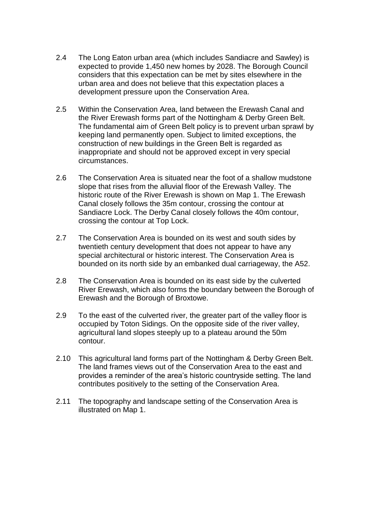- 2.4 The Long Eaton urban area (which includes Sandiacre and Sawley) is expected to provide 1,450 new homes by 2028. The Borough Council considers that this expectation can be met by sites elsewhere in the urban area and does not believe that this expectation places a development pressure upon the Conservation Area.
- 2.5 Within the Conservation Area, land between the Erewash Canal and the River Erewash forms part of the Nottingham & Derby Green Belt. The fundamental aim of Green Belt policy is to prevent urban sprawl by keeping land permanently open. Subject to limited exceptions, the construction of new buildings in the Green Belt is regarded as inappropriate and should not be approved except in very special circumstances.
- 2.6 The Conservation Area is situated near the foot of a shallow mudstone slope that rises from the alluvial floor of the Erewash Valley. The historic route of the River Erewash is shown on Map 1. The Erewash Canal closely follows the 35m contour, crossing the contour at Sandiacre Lock. The Derby Canal closely follows the 40m contour, crossing the contour at Top Lock.
- 2.7 The Conservation Area is bounded on its west and south sides by twentieth century development that does not appear to have any special architectural or historic interest. The Conservation Area is bounded on its north side by an embanked dual carriageway, the A52.
- 2.8 The Conservation Area is bounded on its east side by the culverted River Erewash, which also forms the boundary between the Borough of Erewash and the Borough of Broxtowe.
- 2.9 To the east of the culverted river, the greater part of the valley floor is occupied by Toton Sidings. On the opposite side of the river valley, agricultural land slopes steeply up to a plateau around the 50m contour.
- 2.10 This agricultural land forms part of the Nottingham & Derby Green Belt. The land frames views out of the Conservation Area to the east and provides a reminder of the area's historic countryside setting. The land contributes positively to the setting of the Conservation Area.
- 2.11 The topography and landscape setting of the Conservation Area is illustrated on Map 1.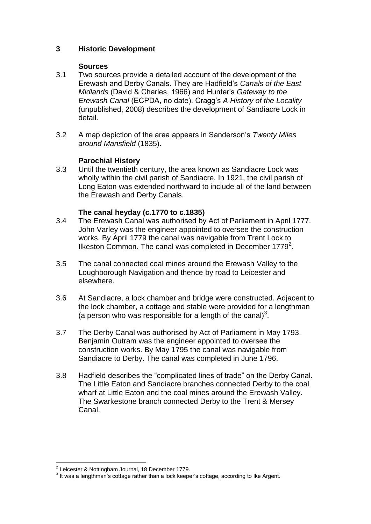## **3 Historic Development**

#### **Sources**

- 3.1 Two sources provide a detailed account of the development of the Erewash and Derby Canals. They are Hadfield's *Canals of the East Midlands* (David & Charles, 1966) and Hunter's *Gateway to the Erewash Canal* (ECPDA, no date). Cragg's *A History of the Locality*  (unpublished, 2008) describes the development of Sandiacre Lock in detail.
- 3.2 A map depiction of the area appears in Sanderson's *Twenty Miles around Mansfield* (1835).

### **Parochial History**

3.3 Until the twentieth century, the area known as Sandiacre Lock was wholly within the civil parish of Sandiacre. In 1921, the civil parish of Long Eaton was extended northward to include all of the land between the Erewash and Derby Canals.

#### **The canal heyday (c.1770 to c.1835)**

- 3.4 The Erewash Canal was authorised by Act of Parliament in April 1777. John Varley was the engineer appointed to oversee the construction works. By April 1779 the canal was navigable from Trent Lock to Ilkeston Common. The canal was completed in December  $1779^2$ .
- 3.5 The canal connected coal mines around the Erewash Valley to the Loughborough Navigation and thence by road to Leicester and elsewhere.
- 3.6 At Sandiacre, a lock chamber and bridge were constructed. Adjacent to the lock chamber, a cottage and stable were provided for a lengthman (a person who was responsible for a length of the canal) $3$ .
- 3.7 The Derby Canal was authorised by Act of Parliament in May 1793. Benjamin Outram was the engineer appointed to oversee the construction works. By May 1795 the canal was navigable from Sandiacre to Derby. The canal was completed in June 1796.
- 3.8 Hadfield describes the "complicated lines of trade" on the Derby Canal. The Little Eaton and Sandiacre branches connected Derby to the coal wharf at Little Eaton and the coal mines around the Erewash Valley. The Swarkestone branch connected Derby to the Trent & Mersey Canal.

 2 Leicester & Nottingham Journal, 18 December 1779.

 $3$  It was a lengthman's cottage rather than a lock keeper's cottage, according to Ike Argent.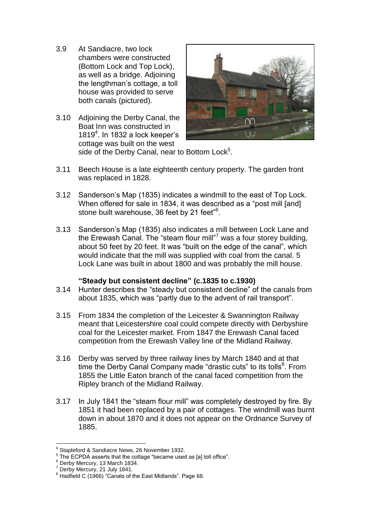- 3.9 At Sandiacre, two lock chambers were constructed (Bottom Lock and Top Lock), as well as a bridge. Adjoining the lengthman's cottage, a toll house was provided to serve both canals (pictured).
- 3.10 Adjoining the Derby Canal, the Boat Inn was constructed in 1819 $4$ . In 1832 a lock keeper's cottage was built on the west



side of the Derby Canal, near to Bottom Lock<sup>5</sup>.

- 3.11 Beech House is a late eighteenth century property. The garden front was replaced in 1828.
- 3.12 Sanderson's Map (1835) indicates a windmill to the east of Top Lock. When offered for sale in 1834, it was described as a "post mill [and] stone built warehouse, 36 feet by 21 feet"<sup>6</sup>.
- 3.13 Sanderson's Map (1835) also indicates a mill between Lock Lane and the Erewash Canal. The "steam flour mill"<sup>7</sup> was a four storey building, about 50 feet by 20 feet. It was "built on the edge of the canal", which would indicate that the mill was supplied with coal from the canal. 5 Lock Lane was built in about 1800 and was probably the mill house.

#### **"Steady but consistent decline" (c.1835 to c.1930)**

- 3.14 Hunter describes the "steady but consistent decline" of the canals from about 1835, which was "partly due to the advent of rail transport".
- 3.15 From 1834 the completion of the Leicester & Swannington Railway meant that Leicestershire coal could compete directly with Derbyshire coal for the Leicester market. From 1847 the Erewash Canal faced competition from the Erewash Valley line of the Midland Railway.
- 3.16 Derby was served by three railway lines by March 1840 and at that time the Derby Canal Company made "drastic cuts" to its tolls<sup>8</sup>. From 1855 the Little Eaton branch of the canal faced competition from the Ripley branch of the Midland Railway.
- 3.17 In July 1841 the "steam flour mill" was completely destroyed by fire. By 1851 it had been replaced by a pair of cottages. The windmill was burnt down in about 1870 and it does not appear on the Ordnance Survey of 1885.

 $\overline{a}$ 4 Stapleford & Sandiacre News, 26 November 1932.

 $5$  The ECPDA asserts that the cottage "became used as [a] toll office".

<sup>6</sup> Derby Mercury, 13 March 1834.

<sup>7</sup> Derby Mercury, 21 July 1841.

<sup>&</sup>lt;sup>8</sup> Hadfield C (1966) "Canals of the East Midlands". Page 68.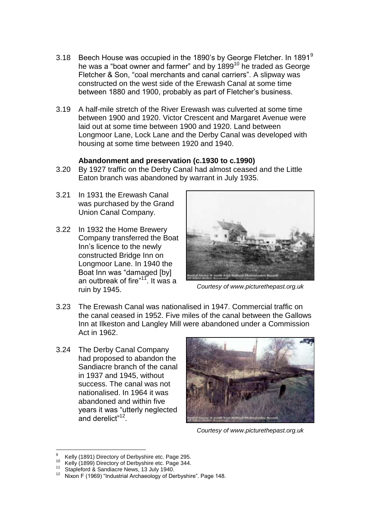- 3.18 Beech House was occupied in the 1890's by George Fletcher. In 1891 $^9$ he was a "boat owner and farmer" and by 1899<sup>10</sup> he traded as George Fletcher & Son, "coal merchants and canal carriers". A slipway was constructed on the west side of the Erewash Canal at some time between 1880 and 1900, probably as part of Fletcher's business.
- 3.19 A half-mile stretch of the River Erewash was culverted at some time between 1900 and 1920. Victor Crescent and Margaret Avenue were laid out at some time between 1900 and 1920. Land between Longmoor Lane, Lock Lane and the Derby Canal was developed with housing at some time between 1920 and 1940.

#### **Abandonment and preservation (c.1930 to c.1990)**

- 3.20 By 1927 traffic on the Derby Canal had almost ceased and the Little Eaton branch was abandoned by warrant in July 1935.
- 3.21 In 1931 the Erewash Canal was purchased by the Grand Union Canal Company.
- 3.22 In 1932 the Home Brewery Company transferred the Boat Inn's licence to the newly constructed Bridge Inn on Longmoor Lane. In 1940 the Boat Inn was "damaged [by] an outbreak of fire"<sup>11</sup>. It was a ruin by 1945.



*Courtesy of www.picturethepast.org.uk*

- 3.23 The Erewash Canal was nationalised in 1947. Commercial traffic on the canal ceased in 1952. Five miles of the canal between the Gallows Inn at Ilkeston and Langley Mill were abandoned under a Commission Act in 1962.
- 3.24 The Derby Canal Company had proposed to abandon the Sandiacre branch of the canal in 1937 and 1945, without success. The canal was not nationalised. In 1964 it was abandoned and within five years it was "utterly neglected and derelict"<sup>12</sup>.



*Courtesy of www.picturethepast.org.uk*

 $\overline{a}$ <sup>9</sup> Kelly (1891) Directory of Derbyshire etc. Page 295.

 $10$  Kelly (1899) Directory of Derbyshire etc. Page 344.

<sup>&</sup>lt;sup>11</sup> Stapleford & Sandiacre News, 13 July 1940.

<sup>12</sup> Nixon F (1969) "Industrial Archaeology of Derbyshire". Page 148.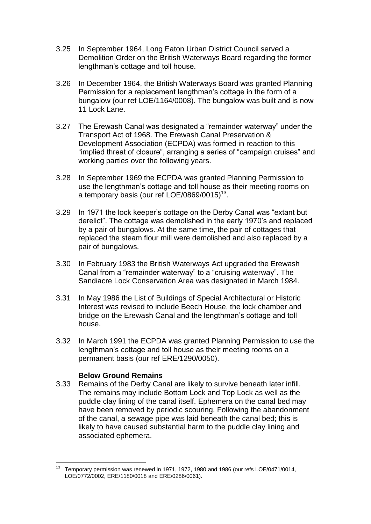- 3.25 In September 1964, Long Eaton Urban District Council served a Demolition Order on the British Waterways Board regarding the former lengthman's cottage and toll house.
- 3.26 In December 1964, the British Waterways Board was granted Planning Permission for a replacement lengthman's cottage in the form of a bungalow (our ref LOE/1164/0008). The bungalow was built and is now 11 Lock Lane.
- 3.27 The Erewash Canal was designated a "remainder waterway" under the Transport Act of 1968. The Erewash Canal Preservation & Development Association (ECPDA) was formed in reaction to this "implied threat of closure", arranging a series of "campaign cruises" and working parties over the following years.
- 3.28 In September 1969 the ECPDA was granted Planning Permission to use the lengthman's cottage and toll house as their meeting rooms on a temporary basis (our ref LOE/0869/0015) $^{13}$ .
- 3.29 In 1971 the lock keeper's cottage on the Derby Canal was "extant but derelict". The cottage was demolished in the early 1970's and replaced by a pair of bungalows. At the same time, the pair of cottages that replaced the steam flour mill were demolished and also replaced by a pair of bungalows.
- 3.30 In February 1983 the British Waterways Act upgraded the Erewash Canal from a "remainder waterway" to a "cruising waterway". The Sandiacre Lock Conservation Area was designated in March 1984.
- 3.31 In May 1986 the List of Buildings of Special Architectural or Historic Interest was revised to include Beech House, the lock chamber and bridge on the Erewash Canal and the lengthman's cottage and toll house.
- 3.32 In March 1991 the ECPDA was granted Planning Permission to use the lengthman's cottage and toll house as their meeting rooms on a permanent basis (our ref ERE/1290/0050).

#### **Below Ground Remains**

3.33 Remains of the Derby Canal are likely to survive beneath later infill. The remains may include Bottom Lock and Top Lock as well as the puddle clay lining of the canal itself. Ephemera on the canal bed may have been removed by periodic scouring. Following the abandonment of the canal, a sewage pipe was laid beneath the canal bed; this is likely to have caused substantial harm to the puddle clay lining and associated ephemera.

<sup>13</sup> <sup>13</sup> Temporary permission was renewed in 1971, 1972, 1980 and 1986 (our refs LOE/0471/0014, LOE/0772/0002, ERE/1180/0018 and ERE/0286/0061).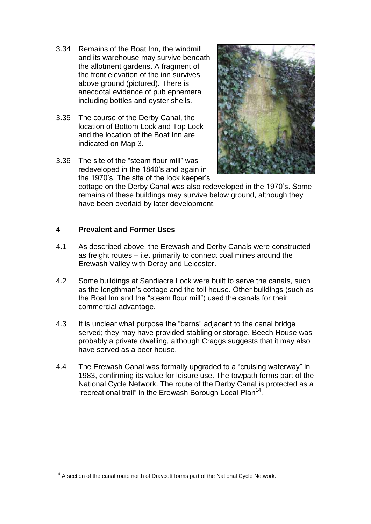- 3.34 Remains of the Boat Inn, the windmill and its warehouse may survive beneath the allotment gardens. A fragment of the front elevation of the inn survives above ground (pictured). There is anecdotal evidence of pub ephemera including bottles and oyster shells.
- 3.35 The course of the Derby Canal, the location of Bottom Lock and Top Lock and the location of the Boat Inn are indicated on Map 3.
- 3.36 The site of the "steam flour mill" was redeveloped in the 1840's and again in the 1970's. The site of the lock keeper's



cottage on the Derby Canal was also redeveloped in the 1970's. Some remains of these buildings may survive below ground, although they have been overlaid by later development.

### **4 Prevalent and Former Uses**

- 4.1 As described above, the Erewash and Derby Canals were constructed as freight routes – i.e. primarily to connect coal mines around the Erewash Valley with Derby and Leicester.
- 4.2 Some buildings at Sandiacre Lock were built to serve the canals, such as the lengthman's cottage and the toll house. Other buildings (such as the Boat Inn and the "steam flour mill") used the canals for their commercial advantage.
- 4.3 It is unclear what purpose the "barns" adjacent to the canal bridge served; they may have provided stabling or storage. Beech House was probably a private dwelling, although Craggs suggests that it may also have served as a beer house.
- 4.4 The Erewash Canal was formally upgraded to a "cruising waterway" in 1983, confirming its value for leisure use. The towpath forms part of the National Cycle Network. The route of the Derby Canal is protected as a "recreational trail" in the Erewash Borough Local Plan<sup>14</sup>.

 $\overline{a}$  $14$  A section of the canal route north of Draycott forms part of the National Cycle Network.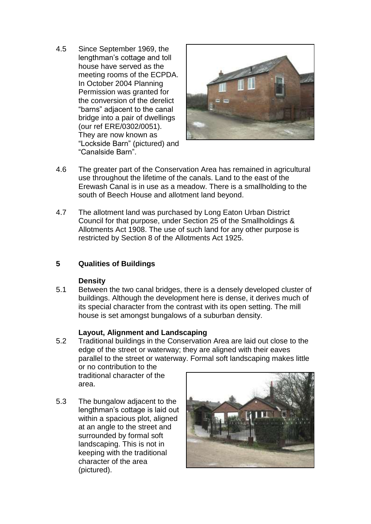4.5 Since September 1969, the lengthman's cottage and toll house have served as the meeting rooms of the ECPDA. In October 2004 Planning Permission was granted for the conversion of the derelict "barns" adjacent to the canal bridge into a pair of dwellings (our ref ERE/0302/0051). They are now known as "Lockside Barn" (pictured) and "Canalside Barn".



- 4.6 The greater part of the Conservation Area has remained in agricultural use throughout the lifetime of the canals. Land to the east of the Erewash Canal is in use as a meadow. There is a smallholding to the south of Beech House and allotment land beyond.
- 4.7 The allotment land was purchased by Long Eaton Urban District Council for that purpose, under Section 25 of the Smallholdings & Allotments Act 1908. The use of such land for any other purpose is restricted by Section 8 of the Allotments Act 1925.

# **5 Qualities of Buildings**

#### **Density**

5.1 Between the two canal bridges, there is a densely developed cluster of buildings. Although the development here is dense, it derives much of its special character from the contrast with its open setting. The mill house is set amongst bungalows of a suburban density.

# **Layout, Alignment and Landscaping**

5.2 Traditional buildings in the Conservation Area are laid out close to the edge of the street or waterway; they are aligned with their eaves parallel to the street or waterway. Formal soft landscaping makes little or no contribution to the

traditional character of the area.

5.3 The bungalow adjacent to the lengthman's cottage is laid out within a spacious plot, aligned at an angle to the street and surrounded by formal soft landscaping. This is not in keeping with the traditional character of the area (pictured).

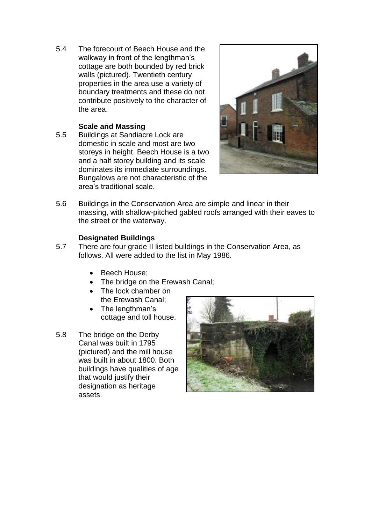5.4 The forecourt of Beech House and the walkway in front of the lengthman's cottage are both bounded by red brick walls (pictured). Twentieth century properties in the area use a variety of boundary treatments and these do not contribute positively to the character of the area.

### **Scale and Massing**

5.5 Buildings at Sandiacre Lock are domestic in scale and most are two storeys in height. Beech House is a two and a half storey building and its scale dominates its immediate surroundings. Bungalows are not characteristic of the area's traditional scale.



5.6 Buildings in the Conservation Area are simple and linear in their massing, with shallow-pitched gabled roofs arranged with their eaves to the street or the waterway.

### **Designated Buildings**

- 5.7 There are four grade II listed buildings in the Conservation Area, as follows. All were added to the list in May 1986.
	- Beech House:
	- The bridge on the Erewash Canal;
	- The lock chamber on the Erewash Canal;
	- The lengthman's cottage and toll house.
- 5.8 The bridge on the Derby Canal was built in 1795 (pictured) and the mill house was built in about 1800. Both buildings have qualities of age that would justify their designation as heritage assets.

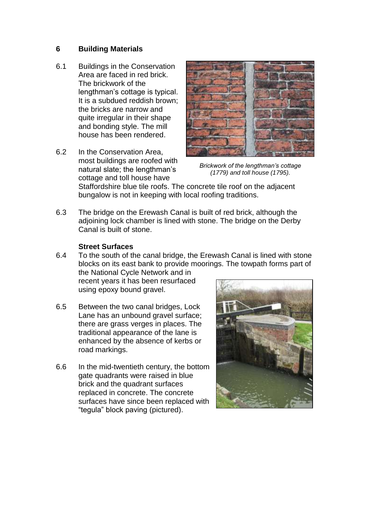#### **6 Building Materials**

- 6.1 Buildings in the Conservation Area are faced in red brick. The brickwork of the lengthman's cottage is typical. It is a subdued reddish brown; the bricks are narrow and quite irregular in their shape and bonding style. The mill house has been rendered.
- 6.2 In the Conservation Area, most buildings are roofed with natural slate; the lengthman's cottage and toll house have



*Brickwork of the lengthman's cottage (1779) and toll house (1795).*

Staffordshire blue tile roofs. The concrete tile roof on the adjacent bungalow is not in keeping with local roofing traditions.

6.3 The bridge on the Erewash Canal is built of red brick, although the adjoining lock chamber is lined with stone. The bridge on the Derby Canal is built of stone.

#### **Street Surfaces**

6.4 To the south of the canal bridge, the Erewash Canal is lined with stone blocks on its east bank to provide moorings. The towpath forms part of the National Cycle Network and in

recent years it has been resurfaced using epoxy bound gravel.

- 6.5 Between the two canal bridges, Lock Lane has an unbound gravel surface; there are grass verges in places. The traditional appearance of the lane is enhanced by the absence of kerbs or road markings.
- 6.6 In the mid-twentieth century, the bottom gate quadrants were raised in blue brick and the quadrant surfaces replaced in concrete. The concrete surfaces have since been replaced with "tegula" block paving (pictured).

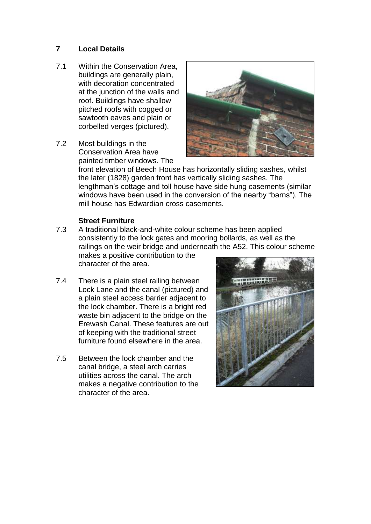## **7 Local Details**

- 7.1 Within the Conservation Area, buildings are generally plain, with decoration concentrated at the junction of the walls and roof. Buildings have shallow pitched roofs with cogged or sawtooth eaves and plain or corbelled verges (pictured).
- 7.2 Most buildings in the Conservation Area have painted timber windows. The



front elevation of Beech House has horizontally sliding sashes, whilst the later (1828) garden front has vertically sliding sashes. The lengthman's cottage and toll house have side hung casements (similar windows have been used in the conversion of the nearby "barns"). The mill house has Edwardian cross casements.

#### **Street Furniture**

7.3 A traditional black-and-white colour scheme has been applied consistently to the lock gates and mooring bollards, as well as the railings on the weir bridge and underneath the A52. This colour scheme

makes a positive contribution to the character of the area.

- 7.4 There is a plain steel railing between Lock Lane and the canal (pictured) and a plain steel access barrier adjacent to the lock chamber. There is a bright red waste bin adjacent to the bridge on the Erewash Canal. These features are out of keeping with the traditional street furniture found elsewhere in the area.
- 7.5 Between the lock chamber and the canal bridge, a steel arch carries utilities across the canal. The arch makes a negative contribution to the character of the area.

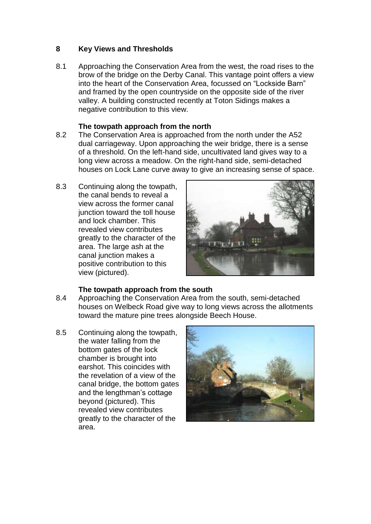## **8 Key Views and Thresholds**

8.1 Approaching the Conservation Area from the west, the road rises to the brow of the bridge on the Derby Canal. This vantage point offers a view into the heart of the Conservation Area, focussed on "Lockside Barn" and framed by the open countryside on the opposite side of the river valley. A building constructed recently at Toton Sidings makes a negative contribution to this view.

#### **The towpath approach from the north**

- 8.2 The Conservation Area is approached from the north under the A52 dual carriageway. Upon approaching the weir bridge, there is a sense of a threshold. On the left-hand side, uncultivated land gives way to a long view across a meadow. On the right-hand side, semi-detached houses on Lock Lane curve away to give an increasing sense of space.
- 8.3 Continuing along the towpath, the canal bends to reveal a view across the former canal junction toward the toll house and lock chamber. This revealed view contributes greatly to the character of the area. The large ash at the canal junction makes a positive contribution to this view (pictured).



#### **The towpath approach from the south**

- 8.4 Approaching the Conservation Area from the south, semi-detached houses on Welbeck Road give way to long views across the allotments toward the mature pine trees alongside Beech House.
- 8.5 Continuing along the towpath, the water falling from the bottom gates of the lock chamber is brought into earshot. This coincides with the revelation of a view of the canal bridge, the bottom gates and the lengthman's cottage beyond (pictured). This revealed view contributes greatly to the character of the area.

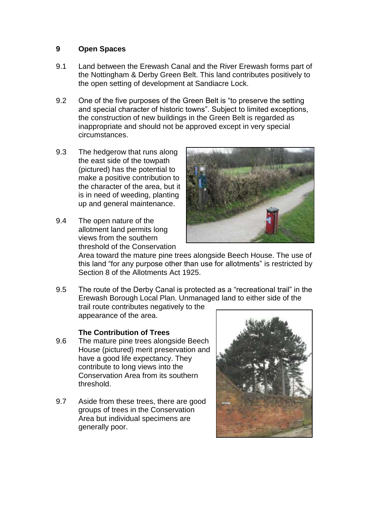#### **9 Open Spaces**

- 9.1 Land between the Erewash Canal and the River Erewash forms part of the Nottingham & Derby Green Belt. This land contributes positively to the open setting of development at Sandiacre Lock.
- 9.2 One of the five purposes of the Green Belt is "to preserve the setting and special character of historic towns". Subject to limited exceptions, the construction of new buildings in the Green Belt is regarded as inappropriate and should not be approved except in very special circumstances.
- 9.3 The hedgerow that runs along the east side of the towpath (pictured) has the potential to make a positive contribution to the character of the area, but it is in need of weeding, planting up and general maintenance.
- 9.4 The open nature of the allotment land permits long views from the southern threshold of the Conservation



Area toward the mature pine trees alongside Beech House. The use of this land "for any purpose other than use for allotments" is restricted by Section 8 of the Allotments Act 1925.

9.5 The route of the Derby Canal is protected as a "recreational trail" in the Erewash Borough Local Plan. Unmanaged land to either side of the trail route contributes negatively to the appearance of the area.

#### **The Contribution of Trees**

- 9.6 The mature pine trees alongside Beech House (pictured) merit preservation and have a good life expectancy. They contribute to long views into the Conservation Area from its southern threshold.
- 9.7 Aside from these trees, there are good groups of trees in the Conservation Area but individual specimens are generally poor.

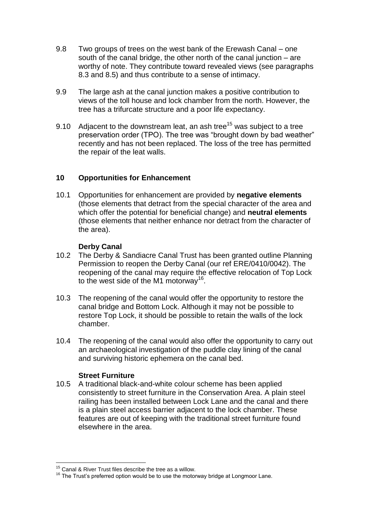- 9.8 Two groups of trees on the west bank of the Erewash Canal one south of the canal bridge, the other north of the canal junction – are worthy of note. They contribute toward revealed views (see paragraphs 8.3 and 8.5) and thus contribute to a sense of intimacy.
- 9.9 The large ash at the canal junction makes a positive contribution to views of the toll house and lock chamber from the north. However, the tree has a trifurcate structure and a poor life expectancy.
- 9.10 Adjacent to the downstream leat, an ash tree<sup>15</sup> was subject to a tree preservation order (TPO). The tree was "brought down by bad weather" recently and has not been replaced. The loss of the tree has permitted the repair of the leat walls.

### **10 Opportunities for Enhancement**

10.1 Opportunities for enhancement are provided by **negative elements**  (those elements that detract from the special character of the area and which offer the potential for beneficial change) and **neutral elements**  (those elements that neither enhance nor detract from the character of the area).

#### **Derby Canal**

- 10.2 The Derby & Sandiacre Canal Trust has been granted outline Planning Permission to reopen the Derby Canal (our ref ERE/0410/0042). The reopening of the canal may require the effective relocation of Top Lock to the west side of the M1 motorway<sup>16</sup>.
- 10.3 The reopening of the canal would offer the opportunity to restore the canal bridge and Bottom Lock. Although it may not be possible to restore Top Lock, it should be possible to retain the walls of the lock chamber.
- 10.4 The reopening of the canal would also offer the opportunity to carry out an archaeological investigation of the puddle clay lining of the canal and surviving historic ephemera on the canal bed.

#### **Street Furniture**

10.5 A traditional black-and-white colour scheme has been applied consistently to street furniture in the Conservation Area. A plain steel railing has been installed between Lock Lane and the canal and there is a plain steel access barrier adjacent to the lock chamber. These features are out of keeping with the traditional street furniture found elsewhere in the area.

 $\overline{a}$  $15$  Canal & River Trust files describe the tree as a willow.

 $16$  The Trust's preferred option would be to use the motorway bridge at Longmoor Lane.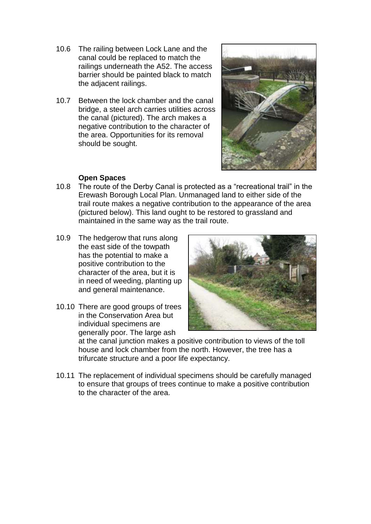- 10.6 The railing between Lock Lane and the canal could be replaced to match the railings underneath the A52. The access barrier should be painted black to match the adjacent railings.
- 10.7 Between the lock chamber and the canal bridge, a steel arch carries utilities across the canal (pictured). The arch makes a negative contribution to the character of the area. Opportunities for its removal should be sought.



### **Open Spaces**

- 10.8 The route of the Derby Canal is protected as a "recreational trail" in the Erewash Borough Local Plan. Unmanaged land to either side of the trail route makes a negative contribution to the appearance of the area (pictured below). This land ought to be restored to grassland and maintained in the same way as the trail route.
- 10.9 The hedgerow that runs along the east side of the towpath has the potential to make a positive contribution to the character of the area, but it is in need of weeding, planting up and general maintenance.
- 10.10 There are good groups of trees in the Conservation Area but individual specimens are generally poor. The large ash



at the canal junction makes a positive contribution to views of the toll house and lock chamber from the north. However, the tree has a trifurcate structure and a poor life expectancy.

10.11 The replacement of individual specimens should be carefully managed to ensure that groups of trees continue to make a positive contribution to the character of the area.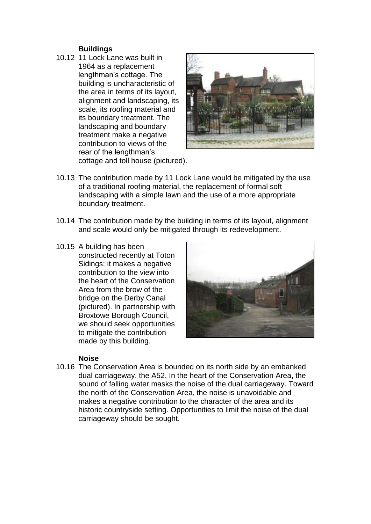#### **Buildings**

10.12 11 Lock Lane was built in 1964 as a replacement lengthman's cottage. The building is uncharacteristic of the area in terms of its layout, alignment and landscaping, its scale, its roofing material and its boundary treatment. The landscaping and boundary treatment make a negative contribution to views of the rear of the lengthman's cottage and toll house (pictured).



- 10.13 The contribution made by 11 Lock Lane would be mitigated by the use of a traditional roofing material, the replacement of formal soft landscaping with a simple lawn and the use of a more appropriate boundary treatment.
- 10.14 The contribution made by the building in terms of its layout, alignment and scale would only be mitigated through its redevelopment.
- 10.15 A building has been constructed recently at Toton Sidings; it makes a negative contribution to the view into the heart of the Conservation Area from the brow of the bridge on the Derby Canal (pictured). In partnership with Broxtowe Borough Council, we should seek opportunities to mitigate the contribution made by this building.



#### **Noise**

10.16 The Conservation Area is bounded on its north side by an embanked dual carriageway, the A52. In the heart of the Conservation Area, the sound of falling water masks the noise of the dual carriageway. Toward the north of the Conservation Area, the noise is unavoidable and makes a negative contribution to the character of the area and its historic countryside setting. Opportunities to limit the noise of the dual carriageway should be sought.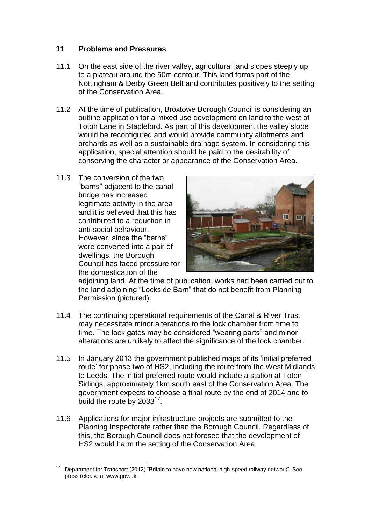# **11 Problems and Pressures**

- 11.1 On the east side of the river valley, agricultural land slopes steeply up to a plateau around the 50m contour. This land forms part of the Nottingham & Derby Green Belt and contributes positively to the setting of the Conservation Area.
- 11.2 At the time of publication, Broxtowe Borough Council is considering an outline application for a mixed use development on land to the west of Toton Lane in Stapleford. As part of this development the valley slope would be reconfigured and would provide community allotments and orchards as well as a sustainable drainage system. In considering this application, special attention should be paid to the desirability of conserving the character or appearance of the Conservation Area.
- 11.3 The conversion of the two "barns" adjacent to the canal bridge has increased legitimate activity in the area and it is believed that this has contributed to a reduction in anti-social behaviour. However, since the "barns" were converted into a pair of dwellings, the Borough Council has faced pressure for the domestication of the



adjoining land. At the time of publication, works had been carried out to the land adjoining "Lockside Barn" that do not benefit from Planning Permission (pictured).

- 11.4 The continuing operational requirements of the Canal & River Trust may necessitate minor alterations to the lock chamber from time to time. The lock gates may be considered "wearing parts" and minor alterations are unlikely to affect the significance of the lock chamber.
- 11.5 In January 2013 the government published maps of its 'initial preferred route' for phase two of HS2, including the route from the West Midlands to Leeds. The initial preferred route would include a station at Toton Sidings, approximately 1km south east of the Conservation Area. The government expects to choose a final route by the end of 2014 and to build the route by  $2033^{17}$ .
- 11.6 Applications for major infrastructure projects are submitted to the Planning Inspectorate rather than the Borough Council. Regardless of this, the Borough Council does not foresee that the development of HS2 would harm the setting of the Conservation Area.

 $\overline{a}$ <sup>17</sup> Department for Transport (2012) "Britain to have new national high-speed railway network". See press release at www.gov.uk.